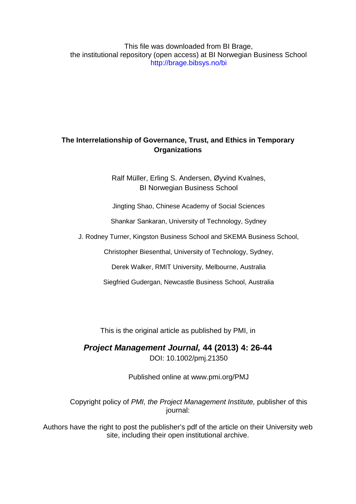This file was downloaded from BI Brage, the institutional repository (open access) at BI Norwegian Business School http://brage.bibsys.no/bi

### **The Interrelationship of Governance, Trust, and Ethics in Temporary Organizations**

Ralf Müller, Erling S. Andersen, Øyvind Kvalnes, BI Norwegian Business School

Jingting Shao, Chinese Academy of Social Sciences

Shankar Sankaran, University of Technology, Sydney

J. Rodney Turner, Kingston Business School and SKEMA Business School,

Christopher Biesenthal, University of Technology, Sydney,

Derek Walker, RMIT University, Melbourne, Australia

Siegfried Gudergan, Newcastle Business School, Australia

This is the original article as published by PMI, in

*Project Management Journal,* **44 (2013) 4: 26-44** DOI: 10.1002/pmj.21350

Published online at www.pmi.org/PMJ

Copyright policy of *PMI, the Project Management Institute,* publisher of this iournal:

Authors have the right to post the publisher's pdf of the article on their University web site, including their open institutional archive.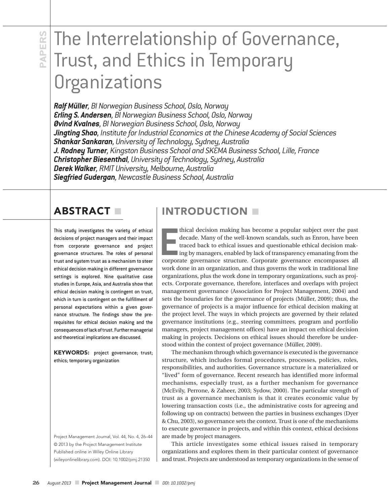*Ralf Müller, BI Norwegian Business School, Oslo, Norway Erling S. Andersen, BI Norwegian Business School, Oslo, Norway Øvind Kvalnes, BI Norwegian Business School, Oslo, Norway Jingting Shao, Institute for Industrial Economics at the Chinese Academy of Social Sciences Shankar Sankaran, University of Technology, Sydney, Australia J. Rodney Turner, Kingston Business School and SKEMA Business School, Lille, France Christopher Biesenthal, University of Technology, Sydney, Australia Derek Walker, RMIT University, Melbourne, Australia Siegfried Gudergan, Newcastle Business School, Australia*

## ABSTRACT ■

This study investigates the variety of ethical decisions of project managers and their impact from corporate governance and project governance structures. The roles of personal trust and system trust as a mechanism to steer ethical decision making in different governance settings is explored. Nine qualitative case studies in Europe, Asia, and Australia show that ethical decision making is contingent on trust, which in turn is contingent on the fulfillment of personal expectations within a given governance structure. The findings show the prerequisites for ethical decision making and the consequences of lack of trust. Further managerial and theoretical implications are discussed.

KEYWORDS: project governance; trust; ethics; temporary organization

Project Management Journal, Vol. 44, No. 4, 26–44 © 2013 by the Project Management Institute Published online in Wiley Online Library (wileyonlinelibrary.com). DOI: 10.1002/pmj.21350

# INTRODUCTION ■

thical decision making has become a popular subject over the past decade. Many of the well-known scandals, such as Enron, have been traced back to ethical issues and questionable ethical decision making by managers, enable thical decision making has become a popular subject over the past decade. Many of the well-known scandals, such as Enron, have been traced back to ethical issues and questionable ethical decision mak**ing by managers, enabled by lack of transparency emanating from the** work done in an organization, and thus governs the work in traditional line organizations, plus the work done in temporary organizations, such as projects. Corporate governance, therefore, interfaces and overlaps with project management governance (Association for Project Management, 2004) and sets the boundaries for the governance of projects (Müller, 2009); thus, the governance of projects is a major influence for ethical decision making at the project level. The ways in which projects are governed by their related governance institutions (e.g., steering committees, program and portfolio managers, project management offices) have an impact on ethical decision making in projects. Decisions on ethical issues should therefore be understood within the context of project governance (Müller, 2009).

The mechanism through which governance is executed is the governance structure, which includes formal procedures, processes, policies, roles, responsibilities, and authorities. Governance structure is a materialized or "lived" form of governance. Recent research has identified more informal mechanisms, especially trust, as a further mechanism for governance (McEvily, Perrone, & Zaheer, 2003; Sydow, 2000). The particular strength of trust as a governance mechanism is that it creates economic value by lowering transaction costs (i.e., the administrative costs for agreeing and following up on contracts) between the parties in business exchanges (Dyer & Chu, 2003), so governance sets the context. Trust is one of the mechanisms to execute governance in projects, and within this context, ethical decisions are made by project managers.

This article investigates some ethical issues raised in temporary organizations and explores them in their particular context of governance and trust. Projects are understood as temporary organizations in the sense of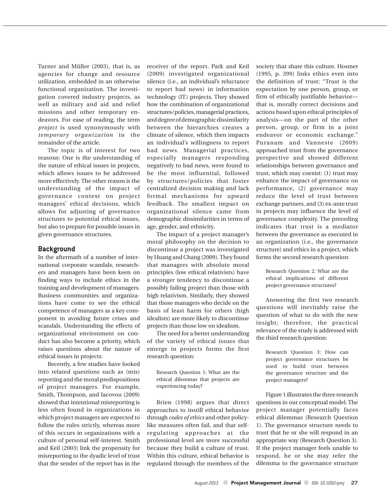Turner and Müller (2003), that is, as agencies for change and resource utilization, embedded in an otherwise functional organization. The investigation covered industry projects, as well as military and aid and relief missions and other temporary endeavors. For ease of reading, the term *project* is used synonymously with *temporary organization* in the remainder of the article.

The topic is of interest for two reasons: One is the understanding of the nature of ethical issues in projects, which allows issues to be addressed more effectively. The other reason is the understanding of the impact of governance context on project managers' ethical decisions, which allows for adjusting of governance structures to potential ethical issues, but also to prepare for possible issues in given governance structures.

### **Background**

In the aftermath of a number of international corporate scandals, researchers and managers have been keen on finding ways to include ethics in the training and development of managers. Business communities and organizations have come to see the ethical competence of managers as a key component in avoiding future crises and scandals. Understanding the effects of organizational environment on conduct has also become a priority, which raises questions about the nature of ethical issues in projects.

Recently, a few studies have looked into related questions such as (mis) reporting and the moral predispositions of project managers. For example, Smith, Thompson, and Iacovou (2009) showed that intentional misreporting is less often found in organizations in which project managers are expected to follow the rules strictly, whereas more of this occurs in organizations with a culture of personal self-interest. Smith and Keil (2003) link the propensity for misreporting to the dyadic level of trust that the sender of the report has in the receiver of the report. Park and Keil (2009) investigated organizational silence (i.e., an individual's reluctance to report bad news) in information technology (IT) projects. They showed how the combination of organizational structures/policies, managerial practices, and degree of demographic dissimilarity between the hierarchies creates a climate of silence, which then impacts an individual's willingness to report bad news. Managerial practices, especially managers responding negatively to bad news, were found to be the most influential, followed by structures/policies that foster centralized decision making and lack formal mechanisms for upward feedback. The smallest impact on organizational silence came from demographic dissimilarities in terms of age, gender, and ethnicity.

The impact of a project manager's moral philosophy on the decision to discontinue a project was investigated by Huang and Chang (2009). They found that managers with absolute moral principles (low ethical relativists) have a stronger tendency to discontinue a possibly failing project than those with high relativism. Similarly, they showed that those managers who decide on the basis of least harm for others (high idealists) are more likely to discontinue projects than those low on idealism.

The need for a better understanding of the variety of ethical issues that emerge in projects forms the first research question:

Research Question 1: What are the ethical dilemmas that projects are experiencing today?

Brien (1998) argues that direct approaches to instill ethical behavior through *codes of ethics* and other policylike measures often fail, and that selfregulating approaches at the professional level are more successful because they build a culture of trust. Within this culture, ethical behavior is regulated through the members of the society that share this culture. Hosmer (1995, p. 399) links ethics even into the definition of trust: "Trust is the expectation by one person, group, or firm of ethically justifiable behavior that is, morally correct decisions and actions based upon ethical principles of analysis—on the part of the other person, group, or firm in a joint endeavor or economic exchange." Puranam and Vanneste (2009) approached trust from the governance perspective and showed different relationships between governance and trust, which may coexist: (1) trust may enhance the impact of governance on performance, (2) governance may reduce the level of trust between exchange partners, and (3) ex-ante trust in projects may influence the level of governance complexity. The preceding indicates that trust is a mediator between the governance as executed in an organization (i.e., the governance structure) and ethics in a project, which forms the second research question:

Research Question 2: What are the ethical implications of different project governance structures?

Answering the first two research questions will inevitably raise the question of what to do with the new insight; therefore, the practical relevance of the study is addressed with the third research question:

Research Question 3: How can project governance structures be used to build trust between the governance structure and the project managers?

Figure 1 illustrates the three research questions in our conceptual model. The project manager potentially faces ethical dilemmas (Research Question 1). The governance structure needs to trust that he or she will respond in an appropriate way (Research Question 3). If the project manager feels unable to respond, he or she may refer the dilemma to the governance structure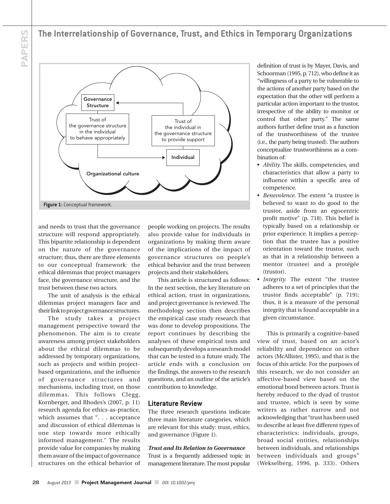

and needs to trust that the governance structure will respond appropriately. This bipartite relationship is dependent on the nature of the governance structure; thus, there are three elements to our conceptual framework: the ethical dilemmas that project managers face, the governance structure, and the trust between these two actors.

The unit of analysis is the ethical dilemmas project managers face and their link to project governance structures.

The study takes a project management perspective toward the phenomenon. The aim is to create awareness among project stakeholders about the ethical dilemmas to be addressed by temporary organizations, such as projects and within projectbased organizations, and the influence of governance structures and mechanisms, including trust, on those dilemmas. This follows Clegg, Kornberger, and Rhodes's (2007, p. 11) research agenda for ethics-as-practice, which assumes that ". . . acceptance and discussion of ethical dilemmas is one step towards more ethically informed management." The results provide value for companies by making them aware of the impact of governance structures on the ethical behavior of people working on projects. The results also provide value for individuals in organizations by making them aware of the implications of the impact of governance structures on people's ethical behavior and the trust between projects and their stakeholders.

This article is structured as follows: In the next section, the key literature on ethical action, trust in organizations, and project governance is reviewed. The methodology section then describes the empirical case study research that was done to develop propositions. The report continues by describing the analyses of these empirical tests and subsequently develops a research model that can be tested in a future study. The article ends with a conclusion on the findings, the answers to the research questions, and an outline of the article's contribution to knowledge.

### **Literature Review**

The three research questions indicate three main literature categories, which are relevant for this study: trust, ethics, and governance (Figure 1).

#### *Trust and Its Relation to Governance*

Trust is a frequently addressed topic in management literature. The most popular definition of trust is by Mayer, Davis, and Schoorman (1995, p. 712), who define it as "willingness of a party to be vulnerable to the actions of another party based on the expectation that the other will perform a particular action important to the trustor, irrespective of the ability to monitor or control that other party." The same authors further define trust as a function of the trustworthiness of the trustee (i.e., the party being trusted). The authors conceptualize trustworthiness as a combination of:

- *Ability.* The skills, competencies, and characteristics that allow a party to influence within a specific area of competence.
- *Benevolence.* The extent "a trustee is believed to want to do good to the trustor, aside from an egocentric profit motive" (p. 718). This belief is typically based on a relationship or prior experience. It implies a perception that the trustee has a positive orientation toward the trustor, such as that in a relationship between a mentor (trustee) and a protégée (trustor).
- *Integrity.* The extent "the trustee adheres to a set of principles that the trustor finds acceptable" (p. 719); thus, it is a measure of the personal integrity that is found acceptable in a given circumstance.

This is primarily a cognitive-based view of trust, based on an actor's reliability and dependence on other actors (McAllister, 1995), and that is the focus of this article. For the purposes of this research, we do not consider an affective-based view based on the emotional bond between actors. Trust is hereby reduced to the dyad of trustor and trustee, which is seen by some writers as rather narrow and not acknowledging that "trust has been used to describe at least five different types of characteristics: individuals, groups, broad social entities, relationships between individuals, and relationships between individuals and groups" (Wekselberg, 1996, p. 333). Others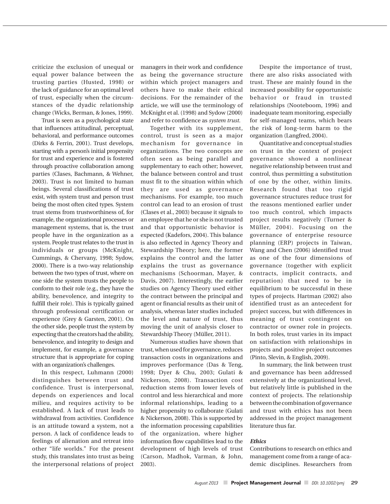criticize the exclusion of unequal or equal power balance between the trusting parties (Husted, 1998) or the lack of guidance for an optimal level of trust, especially when the circumstances of the dyadic relationship change (Wicks, Berman, & Jones, 1999).

Trust is seen as a psychological state that influences attitudinal, perceptual, behavioral, and performance outcomes (Dirks & Ferrin, 2001). Trust develops, starting with a person's initial propensity for trust and experience and is fostered through proactive collaboration among parties (Clases, Bachmann, & Wehner, 2003). Trust is not limited to human beings. Several classifications of trust exist, with system trust and person trust being the most often cited types. System trust stems from trustworthiness of, for example, the organizational processes or management systems, that is, the trust people have in the organization as a system. People trust relates to the trust in individuals or groups (McKnight, Cummings, & Chervany, 1998; Sydow, 2000). There is a two-way relationship between the two types of trust, where on one side the system trusts the people to conform to their role (e.g., they have the ability, benevolence, and integrity to fulfill their role). This is typically gained through professional certification or experience (Grey & Garsten, 2001). On the other side, people trust the system by expecting that the creators had the ability, benevolence, and integrity to design and implement, for example, a governance structure that is appropriate for coping with an organization's challenges.

In this respect, Luhmann (2000) distinguishes between trust and confidence. Trust is interpersonal, depends on experiences and local milieu, and requires activity to be established. A lack of trust leads to withdrawal from activities. Confidence is an attitude toward a system, not a person. A lack of confidence leads to feelings of alienation and retreat into other "life worlds." For the present study, this translates into trust as being the interpersonal relations of project

managers in their work and confidence as being the governance structure within which project managers and others have to make their ethical decisions. For the remainder of the article, we will use the terminology of McKnight et al. (1998) and Sydow (2000) and refer to confidence as *system trust.*

Together with its supplement, control, trust is seen as a major mechanism for governance in organizations. The two concepts are often seen as being parallel and supplementary to each other; however, the balance between control and trust must fit to the situation within which they are used as governance mechanisms. For example, too much control can lead to an erosion of trust (Clases et al., 2003) because it signals to an employee that he or she is not trusted and that opportunistic behavior is expected (Kadefors, 2004). This balance is also reflected in Agency Theory and Stewardship Theory; here, the former explains the control and the latter explains the trust as governance mechanisms (Schoorman, Mayer, & Davis, 2007). Interestingly, the earlier studies on Agency Theory used either the contract between the principal and agent or financial results as their unit of analysis, whereas later studies included the level and nature of trust, thus moving the unit of analysis closer to Stewardship Theory (Müller, 2011).

Numerous studies have shown that trust, when used for governance, reduces transaction costs in organizations and improves performance (Das & Teng, 1998; Dyer & Chu, 2003; Gulati & Nickerson, 2008). Transaction cost reduction stems from lower levels of control and less hierarchical and more informal relationships, leading to a higher propensity to collaborate (Gulati & Nickerson, 2008). This is supported by the information processing capabilities of the organization, where higher information flow capabilities lead to the development of high levels of trust (Carson, Madhok, Varman, & John, 2003).

Despite the importance of trust, there are also risks associated with trust. These are mainly found in the increased possibility for opportunistic behavior or fraud in trusted relationships (Nooteboom, 1996) and inadequate team monitoring, especially for self-managed teams, which bears the risk of long-term harm to the organization (Langfred, 2004).

Quantitative and conceptual studies on trust in the context of project governance showed a nonlinear negative relationship between trust and control, thus permitting a substitution of one by the other, within limits. Research found that too rigid governance structures reduce trust for the reasons mentioned earlier under too much control, which impacts project results negatively (Turner & Müller, 2004). Focusing on the governance of enterprise resource planning (ERP) projects in Taiwan, Wang and Chen (2006) identified trust as one of the four dimensions of governance (together with explicit contracts, implicit contracts, and reputation) that need to be in equilibrium to be successful in these types of projects. Hartman (2002) also identified trust as an antecedent for project success, but with differences in meaning of trust contingent on contractor or owner role in projects. In both roles, trust varies in its impact on satisfaction with relationships in projects and positive project outcomes (Pinto, Slevin, & English, 2009).

In summary, the link between trust and governance has been addressed extensively at the organizational level, but relatively little is published in the context of projects. The relationship between the combination of governance and trust with ethics has not been addressed in the project management literature thus far.

#### *Ethics*

Contributions to research on ethics and management come from a range of academic disciplines. Researchers from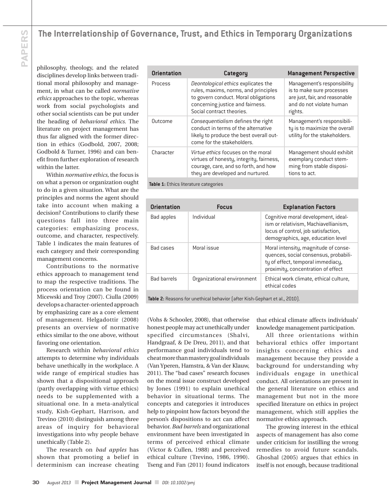philosophy, theology, and the related disciplines develop links between traditional moral philosophy and management, in what can be called *normative ethics* approaches to the topic, whereas work from social psychologists and other social scientists can be put under the heading of *behavioral ethics.* The literature on project management has thus far aligned with the former direction in ethics (Godbold, 2007, 2008; Godbold & Turner, 1996) and can benefit from further exploration of research within the latter.

Within *normative ethics*, the focus is on what a person or organization ought to do in a given situation. What are the principles and norms the agent should take into account when making a decision? Contributions to clarify these questions fall into three main categories: emphasizing process, outcome, and character, respectively. Table 1 indicates the main features of each category and their corresponding management concerns.

Contributions to the normative ethics approach to management tend to map the respective traditions. The process orientation can be found in Micewski and Troy (2007). Ciulla (2009) develops a character-oriented approach by emphasizing care as a core element of management. Helgadottir (2008) presents an overview of normative ethics similar to the one above, without favoring one orientation.

Research within *behavioral ethics* attempts to determine why individuals behave unethically in the workplace. A wide range of empirical studies has shown that a dispositional approach (partly overlapping with virtue ethics) needs to be supplemented with a situational one. In a meta-analytical study, Kish-Gephart, Harrison, and Trevino (2010) distinguish among three areas of inquiry for behavioral investigations into why people behave unethically (Table 2).

The research on *bad apples* has shown that promoting a belief in determinism can increase cheating

| <b>Orientation</b> | <b>Category</b>                                                                                                                                                                      | <b>Management Perspective</b>                                                                                                     |
|--------------------|--------------------------------------------------------------------------------------------------------------------------------------------------------------------------------------|-----------------------------------------------------------------------------------------------------------------------------------|
| Process            | Deontological ethics explicates the<br>rules, maxims, norms, and principles<br>to govern conduct. Moral obligations<br>concerning justice and fairness.<br>Social contract theories. | Management's responsibility<br>is to make sure processes<br>are just, fair, and reasonable<br>and do not violate human<br>rights. |
| Outcome            | Consequentialism defines the right<br>conduct in terms of the alternative<br>likely to produce the best overall out-<br>come for the stakeholders.                                   | Management's responsibili-<br>ty is to maximize the overall<br>utility for the stakeholders.                                      |
| Character          | Virtue ethics focuses on the moral<br>virtues of honesty, integrity, fairness,<br>courage, care, and so forth, and how<br>they are developed and nurtured.                           | Management should exhibit<br>exemplary conduct stem-<br>ming from stable disposi-<br>tions to act.                                |

**Table 1:** Ethics literature categories

| <b>Orientation</b> | <b>Focus</b>               | <b>Explanation Factors</b>                                                                                                                               |
|--------------------|----------------------------|----------------------------------------------------------------------------------------------------------------------------------------------------------|
| Bad apples         | Individual                 | Cognitive moral development, ideal-<br>ism or relativism, Machiavellianism,<br>locus of control, job satisfaction,<br>demographics, age, education level |
| <b>Bad cases</b>   | Moral issue                | Moral intensity, magnitude of conse-<br>quences, social consensus, probabili-<br>ty of effect, temporal immediacy,<br>proximity, concentration of effect |
| <b>Bad barrels</b> | Organizational environment | Ethical work climate, ethical culture,<br>ethical codes                                                                                                  |

Table 2: Reasons for unethical behavior (after Kish-Gephart et al., 2010).

(Vohs & Schooler, 2008), that otherwise honest people may act unethically under specified circumstances (Shalvi, Handgraaf, & De Dreu, 2011), and that performance goal individuals tend to cheat more than mastery goal individuals (Van Yperen, Hamstra, & Van der Klauw, 2011). The "bad cases" research focuses on the moral issue construct developed by Jones (1991) to explain unethical behavior in situational terms. The concepts and categories it introduces help to pinpoint how factors beyond the person's dispositions to act can affect behavior. *Bad barrels* and organizational environment have been investigated in terms of perceived ethical climate (Victor & Cullen, 1988) and perceived ethical culture (Trevino, 1986, 1990). Tseng and Fan (2011) found indicators

that ethical climate affects individuals' knowledge management participation.

All three orientations within behavioral ethics offer important insights concerning ethics and management because they provide a background for understanding why individuals engage in unethical conduct. All orientations are present in the general literature on ethics and management but not in the more specified literature on ethics in project management, which still applies the normative ethics approach.

The growing interest in the ethical aspects of management has also come under criticism for instilling the wrong remedies to avoid future scandals. Ghoshal (2005) argues that ethics in itself is not enough, because traditional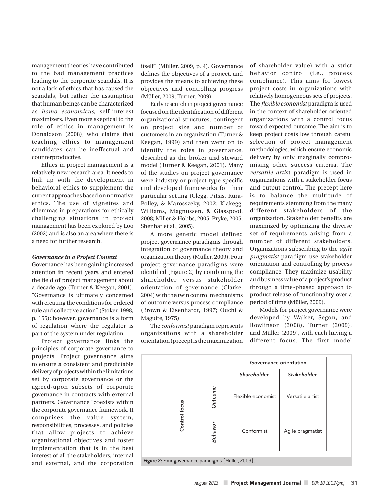management theories have contributed to the bad management practices leading to the corporate scandals. It is not a lack of ethics that has caused the scandals, but rather the assumption that human beings can be characterized as *homo economicus*, self-interest maximizers. Even more skeptical to the role of ethics in management is Donaldson (2008), who claims that teaching ethics to management candidates can be ineffectual and counterproductive.

Ethics in project management is a relatively new research area. It needs to link up with the development in behavioral ethics to supplement the current approaches based on normative ethics. The use of vignettes and dilemmas in preparations for ethically challenging situations in project management has been explored by Loo (2002) and is also an area where there is a need for further research.

#### *Governance in a Project Context*

Governance has been gaining increased attention in recent years and entered the field of project management about a decade ago (Turner & Keegan, 2001). "Governance is ultimately concerned with creating the conditions for ordered rule and collective action" (Stoker, 1998, p. 155)*;* however, governance is a form of regulation where the regulator is part of the system under regulation.

Project governance links the principles of corporate governance to projects. Project governance aims to ensure a consistent and predictable delivery of projects within the limitations set by corporate governance or the agreed-upon subsets of corporate governance in contracts with external partners. Governance "coexists within the corporate governance framework. It comprises the value system, responsibilities, processes, and policies that allow projects to achieve organizational objectives and foster implementation that is in the best interest of all the stakeholders, internal and external, and the corporation itself" (Müller, 2009, p. 4). Governance defines the objectives of a project, and provides the means to achieving these objectives and controlling progress (Müller, 2009; Turner, 2009).

Early research in project governance focused on the identification of different organizational structures, contingent on project size and number of customers in an organization (Turner & Keegan, 1999) and then went on to identify the roles in governance, described as the broker and steward model (Turner & Keegan, 2001). Many of the studies on project governance were industry or project-type specific and developed frameworks for their particular setting (Clegg, Pitsis, Rura-Polley, & Marosszeky, 2002; Klakegg, Williams, Magnussen, & Glasspool, 2008; Miller & Hobbs, 2005; Pryke, 2005; Shenhar et al., 2005).

A more generic model defined project governance paradigms through integration of governance theory and organization theory (Müller, 2009). Four project governance paradigms were identified (Figure 2) by combining the shareholder versus stakeholder orientation of governance (Clarke, 2004) with the twin control mechanisms of outcome versus process compliance (Brown & Eisenhardt, 1997; Ouchi & Maguire, 1975).

The *conformist* paradigm represents organizations with a shareholder orientation (precept is the maximization

of shareholder value) with a strict behavior control (i.e., process compliance). This aims for lowest project costs in organizations with relatively homogeneous sets of projects. The *flexible economist* paradigm is used in the context of shareholder-oriented organizations with a control focus toward expected outcome. The aim is to keep project costs low through careful selection of project management methodologies, which ensure economic delivery by only marginally compromising other success criteria. The *versatile arti*st paradigm is used in organizations with a stakeholder focus and output control. The precept here is to balance the multitude of requirements stemming from the many different stakeholders of the organization. Stakeholder benefits are maximized by optimizing the diverse set of requirements arising from a number of different stakeholders. Organizations subscribing to the *agile pragmatist* paradigm use stakeholder orientation and controlling by process compliance. They maximize usability and business value of a project's product through a time-phased approach to product release of functionality over a period of time (Müller, 2009).

Models for project governance were developed by Walker, Segon, and Rowlinson (2008), Turner (2009), and Müller (2009), with each having a different focus. The first model

|               |          | Governance orientation |                    |
|---------------|----------|------------------------|--------------------|
|               |          | Shareholder            | <b>Stakeholder</b> |
|               | Outcome  | Flexible economist     | Versatile artist   |
| Control focus | Behavior | Conformist             | Agile pragmatist   |

**Figure 2:** Four governance paradigms (Müller, 2009).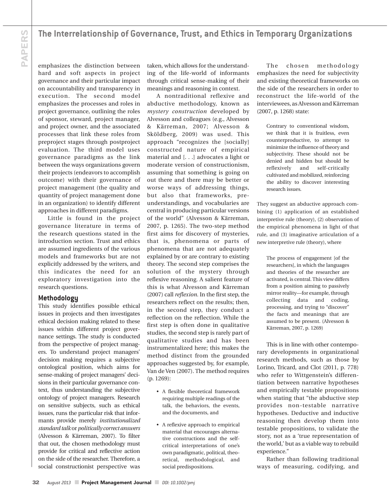emphasizes the distinction between hard and soft aspects in project governance and their particular impact on accountability and transparency in execution. The second model emphasizes the processes and roles in project governance, outlining the roles of sponsor, steward, project manager, and project owner, and the associated processes that link these roles from preproject stages through postproject evaluation. The third model uses governance paradigms as the link between the ways organizations govern their projects (endeavors to accomplish outcome) with their governance of project management (the quality and quantity of project management done in an organization) to identify different approaches in different paradigms.

Little is found in the project governance literature in terms of the research questions stated in the introduction section. Trust and ethics are assumed ingredients of the various models and frameworks but are not explicitly addressed by the writers, and this indicates the need for an exploratory investigation into the research questions.

### **Methodology**

This study identifies possible ethical issues in projects and then investigates ethical decision making related to these issues within different project governance settings. The study is conducted from the perspective of project managers. To understand project managers' decision making requires a subjective ontological position, which aims for sense-making of project managers' decisions in their particular governance context, thus understanding the subjective ontology of project managers. Research on sensitive subjects, such as ethical issues, runs the particular risk that informants provide merely *institutionalized standard talk* or *politically correct answers* (Alvesson & Kärreman, 2007). To filter that out, the chosen methodology must provide for critical and reflective action on the side of the researcher. Therefore, a social constructionist perspective was

taken, which allows for the understanding of the life-world of informants through critical sense-making of their meanings and reasoning in context.

A nontraditional reflexive and abductive methodology, known as *mystery construction* developed by Alvesson and colleagues (e.g., Alvesson & Kärreman, 2007; Alvesson & Sköldberg, 2009) was used. This approach "recognizes the [socially] constructed nature of empirical material and [. . .] advocates a light or moderate version of constructionism, assuming that something is going on out there and there may be better or worse ways of addressing things, but also that frameworks, preunderstandings, and vocabularies are central in producing particular versions of the world" (Alvesson & Kärreman, 2007, p. 1265). The two-step method first aims for discovery of mysteries, that is, phenomena or parts of phenomena that are not adequately explained by or are contrary to existing theory. The second step comprises the solution of the mystery through reflexive reasoning. A salient feature of this is what Alvesson and Kärreman (2007) call *reflexion.* In the first step, the researchers reflect on the results; then, in the second step, they conduct a reflection on the reflection. While the first step is often done in qualitative studies, the second step is rarely part of qualitative studies and has been instrumentalized here; this makes the method distinct from the grounded approaches suggested by, for example, Van de Ven (2007). The method requires (p. 1269):

- A flexible theoretical framework requiring multiple readings of the talk, the behaviors, the events, and the documents, and
- A reflexive approach to empirical material that encourages alternative constructions and the selfcritical interpretations of one's own paradigmatic, political, theoretical, methodological, and social predispositions.

The chosen methodology emphasizes the need for subjectivity and existing theoretical frameworks on the side of the researchers in order to reconstruct the life-world of the interviewees, as Alvesson and Kärreman (2007, p. 1268) state:

Contrary to conventional wisdom, we think that it is fruitless, even counterproductive, to attempt to minimize the influence of theory and subjectivity. These should not be denied and hidden but should be reflexively and self-critically cultivated and mobilized, reinforcing the ability to discover interesting research issues.

They suggest an abductive approach combining (1) application of an established interpretive rule (theory), (2) observation of the empirical phenomena in light of that rule, and (3) imaginative articulation of a new interpretive rule (theory), where

The process of engagement [of the researchers], in which the languages and theories of the researcher are activated, is central. This view differs from a position aiming to passively mirror reality—for example, through collecting data and coding, processing, and trying to "discover" the facts and meanings that are assumed to be present. (Alvesson & Kärreman, 2007, p. 1269)

This is in line with other contemporary developments in organizational research methods, such as those by Lorino, Tricard, and Clot (2011, p. 778) who refer to Wittgenstein's differentiation between narrative hypotheses and empirically testable propositions when stating that "the abductive step provides non-testable narrative hypotheses. Deductive and inductive reasoning then develop them into testable propositions, to validate the story, not as a 'true representation of the world,' but as a viable way to rebuild experience."

Rather than following traditional ways of measuring, codifying, and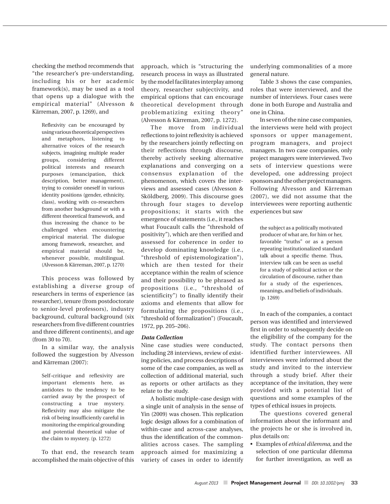checking the method recommends that "the researcher's pre-understanding, including his or her academic framework(s), may be used as a tool that opens up a dialogue with the empirical material" (Alvesson & Kärreman, 2007, p. 1269), and

Reflexivity can be encouraged by using various theoretical perspectives and metaphors, listening to alternative voices of the research subjects, imagining multiple reader groups, considering different political interests and research purposes (emancipation, thick description, better management), trying to consider oneself in various identity positions (gender, ethnicity, class), working with co-researchers from another background or with a different theoretical framework, and thus increasing the chance to be challenged when encountering empirical material. The dialogue among framework, researcher, and empirical material should be, whenever possible, multilingual. (Alvesson & Kärreman, 2007, p. 1270)

This process was followed by establishing a diverse group of researchers in terms of experience (as researcher), tenure (from postdoctorate to senior-level professors), industry background, cultural background (six researchers from five different countries and three different continents), and age (from 30 to 70).

In a similar way, the analysis followed the suggestion by Alvesson and Kärreman (2007):

Self-critique and reflexivity are important elements here, as antidotes to the tendency to be carried away by the prospect of constructing a true mystery. Reflexivity may also mitigate the risk of being insufficiently careful in monitoring the empirical grounding and potential theoretical value of the claim to mystery. (p. 1272)

To that end, the research team accomplished the main objective of this approach, which is "structuring the research process in ways as illustrated by the model facilitates interplay among theory, researcher subjectivity, and empirical options that can encourage theoretical development through problematizing exiting theory" (Alvesson & Kärreman, 2007, p. 1272).

The move from individual reflections to joint reflexivity is achieved by the researchers jointly reflecting on their reflections through discourse, thereby actively seeking alternative explanations and converging on a consensus explanation of the phenomenon, which covers the interviews and assessed cases (Alvesson & Sköldberg, 2009). This discourse goes through four stages to develop propositions; it starts with the emergence of statements (i.e., it reaches what Foucault calls the "threshold of positivity"), which are then verified and assessed for coherence in order to develop dominating knowledge (i.e., "threshold of epistemologization"), which are then tested for their acceptance within the realm of science and their possibility to be phrased as propositions (i.e., "threshold of scientificity") to finally identify their axioms and elements that allow for formulating the propositions (i.e., "threshold of formalization") (Foucault, 1972, pp. 205–206).

#### *Data Collection*

Nine case studies were conducted, including 28 interviews, review of existing policies, and process descriptions of some of the case companies, as well as collection of additional material, such as reports or other artifacts as they relate to the study.

A holistic multiple-case design with a single unit of analysis in the sense of Yin (2009) was chosen. This replication logic design allows for a combination of within-case and across-case analyses, thus the identification of the commonalities across cases. The sampling approach aimed for maximizing a variety of cases in order to identify underlying commonalities of a more general nature.

Table 3 shows the case companies, roles that were interviewed, and the number of interviews. Four cases were done in both Europe and Australia and one in China.

In seven of the nine case companies, the interviews were held with project sponsors or upper management, program managers, and project managers. In two case companies, only project managers were interviewed. Two sets of interview questions were developed, one addressing project sponsors and the other project managers. Following Alvesson and Kärreman (2007), we did not assume that the interviewees were reporting authentic experiences but saw

the subject as a politically motivated producer of what are, for him or her, favorable "truths" or as a person repeating institutionalized standard talk about a specific theme. Thus, interview talk can be seen as useful for a study of political action or the circulation of discourse, rather than for a study of the experiences, meanings, and beliefs of individuals*.* (p. 1269)

In each of the companies, a contact person was identified and interviewed first in order to subsequently decide on the eligibility of the company for the study. The contact persons then identified further interviewees. All interviewees were informed about the study and invited to the interview through a study brief. After their acceptance of the invitation, they were provided with a potential list of questions and some examples of the types of ethical issues in projects.

The questions covered general information about the informant and the projects he or she is involved in, plus details on:

• Examples of *ethical dilemma*, and the selection of one particular dilemma for further investigation, as well as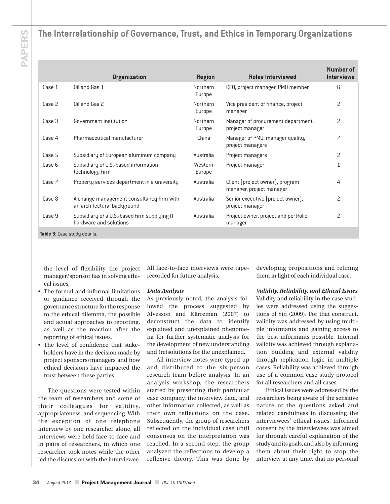PAPERS **PAPERS**

### **The Interrelationship of Governance, Trust, and Ethics in Temporary Organizations**

|        | <b>Organization</b>                                                      | <b>Region</b>             | <b>Roles Interviewed</b>                                    | <b>Number of</b><br><b>Interviews</b> |
|--------|--------------------------------------------------------------------------|---------------------------|-------------------------------------------------------------|---------------------------------------|
| Case 1 | Oil and Gas 1                                                            | Northern<br>Europe        | CEO, project manager, PMO member                            | 6                                     |
| Case 2 | Oil and Gas 2                                                            | Northern<br>Europe        | Vice president of finance, project<br>manager               | 2                                     |
| Case 3 | Government institution                                                   | <b>Northern</b><br>Europe | Manager of procurement department,<br>project manager       | 2                                     |
| Case 4 | Pharmaceutical manufacturer                                              | China                     | Manager of PMO, manager quality,<br>project managers        | $\overline{\phantom{0}}$              |
| Case 5 | Subsidiary of European aluminum company                                  | Australia                 | Project managers                                            | 2                                     |
| Case 6 | Subsidiary of U.S.-based information<br>technology firm                  | Western<br>Europe         | Project manager                                             | 1                                     |
| Case 7 | Property services department in a university                             | Australia                 | Client (project owner), program<br>manager, project manager | 4                                     |
| Case 8 | A change management consultancy firm with<br>an architectural background | Australia                 | Senior executive (project owner),<br>project manager        | 2                                     |
| Case 9 | Subsidiary of a U.S.-based firm supplying IT<br>hardware and solutions   | Australia                 | Project owner, project and portfolio<br>manager             | 2                                     |
|        | Table 3: Case study details.                                             |                           |                                                             |                                       |

the level of flexibility the project manager/sponsor has in solving ethical issues.

- The formal and informal limitations or guidance received through the governance structure for the response to the ethical dilemma, the possible and actual approaches to reporting, as well as the reaction after the reporting of ethical issues.
- The level of confidence that stakeholders have in the decision made by project sponsors/managers and how ethical decisions have impacted the trust between these parties.

The questions were tested within the team of researchers and some of their colleagues for validity, appropriateness, and sequencing. With the exception of one telephone interview by one researcher alone, all interviews were held face-to-face and in pairs of researchers, in which one researcher took notes while the other led the discussion with the interviewee. All face-to-face interviews were taperecorded for future analysis.

#### *Data Analysis*

As previously noted, the analysis followed the process suggested by Alvesson and Kärreman (2007) to deconstruct the data to identify explained and unexplained phenomena for further systematic analysis for the development of new understanding and (re)solutions for the unexplained.

All interview notes were typed up and distributed to the six-person research team before analysis. In an analysis workshop, the researchers started by presenting their particular case company, the interview data, and other information collected, as well as their own reflections on the case. Subsequently, the group of researchers reflected on the individual case until consensus on the interpretation was reached. In a second step, the group analyzed the reflections to develop a reflexive theory. This was done by

developing propositions and refining them in light of each individual case.

*Validity, Reliability, and Ethical Issues*

Validity and reliability in the case studies were addressed using the suggestions of Yin (2009). For that construct, validity was addressed by using multiple informants and gaining access to the best informants possible. Internal validity was achieved through explanation building and external validity through replication logic in multiple cases. Reliability was achieved through use of a common case study protocol for all researchers and all cases.

Ethical issues were addressed by the researchers being aware of the sensitive nature of the questions asked and related carefulness in discussing the interviewees' ethical issues. Informed consent by the interviewees was aimed for through careful explanation of the study and its goals, and also by informing them about their right to stop the interview at any time, that no personal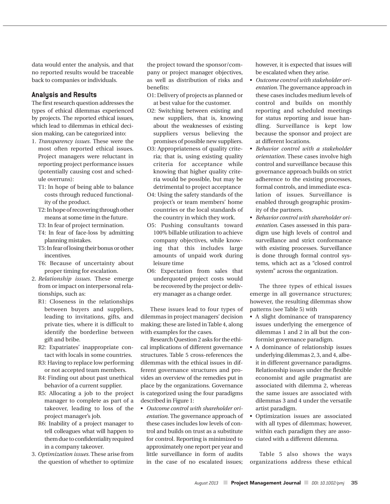data would enter the analysis, and that no reported results would be traceable back to companies or individuals.

### **Analysis and Results**

The first research question addresses the types of ethical dilemmas experienced by projects. The reported ethical issues, which lead to dilemmas in ethical decision making, can be categorized into:

- 1. *Transparency issues.* These were the most often reported ethical issues. Project managers were reluctant in reporting project performance issues (potentially causing cost and schedule overruns):
	- T1: In hope of being able to balance costs through reduced functionality of the product.
	- T2: In hope of recovering through other means at some time in the future.
	- T3: In fear of project termination.
	- T4: In fear of face-loss by admitting planning mistakes.
	- T5: In fear of losing their bonus or other incentives.
	- T6: Because of uncertainty about proper timing for escalation.
- 2. *Relationship issues*. These emerge from or impact on interpersonal relationships, such as:
	- R1: Closeness in the relationships between buyers and suppliers, leading to invitations, gifts, and private ties, where it is difficult to identify the borderline between gift and bribe.
	- R2: Expatriates' inappropriate contact with locals in some countries.
	- R3: Having to replace low performing or not accepted team members.
	- R4: Finding out about past unethical behavior of a current supplier.
	- R5: Allocating a job to the project manager to complete as part of a takeover, leading to loss of the project manager's job.
	- R6: Inability of a project manager to tell colleagues what will happen to them due to confidentiality required in a company takeover.
- 3. *Optimization issues*. These arise from the question of whether to optimize

the project toward the sponsor/company or project manager objectives, as well as distribution of risks and benefits:

O1: Delivery of projects as planned or at best value for the customer.

- O2: Switching between existing and new suppliers, that is, knowing about the weaknesses of existing suppliers versus believing the promises of possible new suppliers.
- O3: Appropriateness of quality criteria; that is, using existing quality criteria for acceptance while knowing that higher quality criteria would be possible, but may be detrimental to project acceptance
- O4: Using the safety standards of the project's or team members' home countries or the local standards of the country in which they work.
- O5: Pushing consultants toward 100% billable utilization to achieve company objectives, while knowing that this includes large amounts of unpaid work during leisure time
- O6: Expectation from sales that underquoted project costs would be recovered by the project or delivery manager as a change order.

These issues lead to four types of dilemmas in project managers' decision making; these are listed in Table 4, along with examples for the cases.

Research Question 2 asks for the ethical implications of different governance structures. Table 5 cross-references the dilemmas with the ethical issues in different governance structures and provides an overview of the remedies put in place by the organizations. Governance is categorized using the four paradigms described in Figure 1:

 • *Outcome control with shareholder orientation.* The governance approach of these cases includes low levels of control and builds on trust as a substitute for control. Reporting is minimized to approximately one report per year and little surveillance in form of audits in the case of no escalated issues;

however, it is expected that issues will be escalated when they arise.

- *Outcome control with stakeholder orientation.* The governance approach in these cases includes medium levels of control and builds on monthly reporting and scheduled meetings for status reporting and issue handling. Surveillance is kept low because the sponsor and project are at different locations.
- *Behavior control with a stakeholder orientation.* These cases involve high control and surveillance because this governance approach builds on strict adherence to the existing processes, formal controls, and immediate escalation of issues. Surveillance is enabled through geographic proximity of the partners.
- *Behavior control with shareholder orientation.* Cases assessed in this paradigm use high levels of control and surveillance and strict conformance with existing processes. Surveillance is done through formal control systems, which act as a "closed control system" across the organization.

The three types of ethical issues emerge in all governance structures; however, the resulting dilemmas show patterns (see Table 5) with

- A slight dominance of transparency issues underlying the emergence of dilemmas 1 and 2 in all but the conformist governance paradigm.
- A dominance of relationship issues underlying dilemmas 2, 3, and 4, albeit in different governance paradigms. Relationship issues under the flexible economist and agile pragmatist are associated with dilemma 2, whereas the same issues are associated with dilemmas 3 and 4 under the versatile artist paradigm.
- Optimization issues are associated with all types of dilemmas; however, within each paradigm they are associated with a different dilemma.

Table 5 also shows the ways organizations address these ethical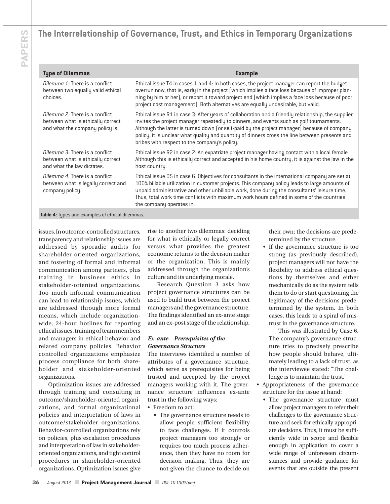| <b>Type of Dilemmas</b>                                                                                | <b>Example</b>                                                                                                                                                                                                                                                                                                                                                                                                                                 |
|--------------------------------------------------------------------------------------------------------|------------------------------------------------------------------------------------------------------------------------------------------------------------------------------------------------------------------------------------------------------------------------------------------------------------------------------------------------------------------------------------------------------------------------------------------------|
| Dilemma 1: There is a conflict<br>between two equally valid ethical<br>choices.                        | Ethical issue T4 in cases 1 and 4: In both cases, the project manager can report the budget<br>overrun now, that is, early in the project (which implies a face loss because of improper plan-<br>ning by him or her), or report it toward project end (which implies a face loss because of poor<br>project cost management). Both alternatives are equally undesirable, but valid.                                                           |
| Dilemma 2: There is a conflict<br>between what is ethically correct<br>and what the company policy is. | Ethical issue R1 in case 3: After years of collaboration and a friendly relationship, the supplier<br>invites the project manager repeatedly to dinners, and events such as golf tournaments.<br>Although the latter is turned down (or self-paid by the project manager) because of company<br>policy, it is unclear what quality and quantity of dinners cross the line between presents and<br>bribes with respect to the company's policy. |
| Dilemma 3: There is a conflict<br>between what is ethically correct<br>and what the law dictates.      | Ethical issue R2 in case 2: An expatriate project manager having contact with a local female.<br>Although this is ethically correct and accepted in his home country, it is against the law in the<br>host country.                                                                                                                                                                                                                            |
| Dilemma 4: There is a conflict<br>between what is legally correct and<br>company policy.               | Ethical issue 05 in case 6: Objectives for consultants in the international company are set at<br>100% billable utilization in customer projects. This company policy leads to large amounts of<br>unpaid administrative and other unbillable work, done during the consultants' leisure time.<br>Thus, total work time conflicts with maximum work hours defined in some of the countries<br>the company operates in.                         |

**Table 4:** Types and examples of ethical dilemmas.

issues. In outcome-controlled structures, transparency and relationship issues are addressed by sporadic audits for shareholder-oriented organizations, and fostering of formal and informal communication among partners, plus training in business ethics in stakeholder-oriented organizations. Too much informal communication can lead to relationship issues, which are addressed through more formal means, which include organizationwide, 24-hour hotlines for reporting ethical issues, training of team members and managers in ethical behavior and related company policies. Behavior controlled organizations emphasize process compliance for both shareholder and stakeholder-oriented organizations.

Optimization issues are addressed through training and consulting in outcome/shareholder-oriented organizations, and formal organizational policies and interpretation of laws in outcome/stakeholder organizations. Behavior-controlled organizations rely on policies, plus escalation procedures and interpretation of law in stakeholderoriented organizations, and tight control procedures in shareholder-oriented organizations. Optimization issues give rise to another two dilemmas: deciding for what is ethically or legally correct versus what provides the greatest economic returns to the decision maker or the organization. This is mainly addressed through the organization's culture and its underlying morale.

Research Question 3 asks how project governance structures can be used to build trust between the project managers and the governance structure. The findings identified an ex-ante stage and an ex-post stage of the relationship.

#### *Ex-ante—Prerequisites of the Governance Structure*

The interviews identified a number of attributes of a governance structure, which serve as prerequisites for being trusted and accepted by the project managers working with it. The governance structure influences ex-ante trust in the following ways:

- Freedom to act:
	- The governance structure needs to allow people sufficient flexibility to face challenges. If it controls project managers too strongly or requires too much process adherence, then they have no room for decision making. Thus, they are not given the chance to decide on

their own; the decisions are predetermined by the structure.

• If the governance structure is too strong (as previously described), project managers will not have the flexibility to address ethical questions by themselves and either mechanically do as the system tells them to do or start questioning the legitimacy of the decisions predetermined by the system. In both cases, this leads to a spiral of mistrust in the governance structure.

This was illustrated by Case 6. The company's governance structure tries to precisely prescribe how people should behave, ultimately leading to a lack of trust, as the interviewee stated: "The challenge is to maintain the trust."

- Appropriateness of the governance structure for the issue at hand:
	- The governance structure must allow project managers to refer their challenges to the governance structure and seek for ethically appropriate decisions. Thus, it must be sufficiently wide in scope and flexible enough in application to cover a wide range of unforeseen circumstances and provide guidance for events that are outside the present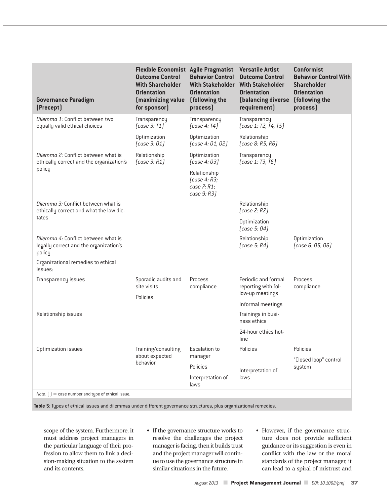| <b>Governance Paradigm</b><br>(Precept)                                                 | <b>Flexible Economist Agile Pragmatist</b><br><b>Outcome Control</b><br><b>With Shareholder</b><br><b>Orientation</b><br>(maximizing value<br>for sponsor) | <b>Behavior Control</b><br><b>With Stakeholder</b><br><b>Orientation</b><br>(following the<br>process) | <b>Versatile Artist</b><br><b>Outcome Control</b><br><b>With Stakeholder</b><br><b>Orientation</b><br><b>(balancing diverse</b><br>requirement) | <b>Conformist</b><br><b>Behavior Control With</b><br><b>Shareholder</b><br><b>Orientation</b><br>(following the<br>process) |
|-----------------------------------------------------------------------------------------|------------------------------------------------------------------------------------------------------------------------------------------------------------|--------------------------------------------------------------------------------------------------------|-------------------------------------------------------------------------------------------------------------------------------------------------|-----------------------------------------------------------------------------------------------------------------------------|
| Dilemma 1: Conflict between two<br>equally valid ethical choices                        | Transparency<br>(case 3:T1)                                                                                                                                | Transparency<br>$\left(\text{case } 4: 74\right)$                                                      | Transparency<br>(case 1: T2, T4, T5)                                                                                                            |                                                                                                                             |
|                                                                                         | Optimization<br>$\sqrt{case 3:01}$                                                                                                                         | Optimization<br>[case 4: 01, 02]                                                                       | Relationship<br>(case 8: R5, R6)                                                                                                                |                                                                                                                             |
| Dilemma 2: Conflict between what is<br>ethically correct and the organization's         | Relationship<br>$\{case 3: R1\}$                                                                                                                           | Optimization<br>$\{case 4: 03\}$                                                                       | Transparency<br>(case 1: T3, T6)                                                                                                                |                                                                                                                             |
| policy                                                                                  |                                                                                                                                                            | Relationship<br>[case 4: R3;<br>case $7: R1;$<br>case 9: R3)                                           |                                                                                                                                                 |                                                                                                                             |
| Dilemma 3: Conflict between what is<br>ethically correct and what the law dic-          |                                                                                                                                                            |                                                                                                        | Relationship<br>(case 2: R2)                                                                                                                    |                                                                                                                             |
| tates                                                                                   |                                                                                                                                                            |                                                                                                        | Optimization<br>(case 5:04)                                                                                                                     |                                                                                                                             |
| Dilemma 4: Conflict between what is<br>legally correct and the organization's<br>policy |                                                                                                                                                            |                                                                                                        | Relationship<br>[case 5: R4]                                                                                                                    | Optimization<br>[case 6: 05, 06]                                                                                            |
| Organizational remedies to ethical<br>issues:                                           |                                                                                                                                                            |                                                                                                        |                                                                                                                                                 |                                                                                                                             |
| Transparency issues                                                                     | Sporadic audits and<br>site visits                                                                                                                         | Process<br>compliance                                                                                  | Periodic and formal<br>reporting with fol-<br>low-up meetings                                                                                   | Process<br>compliance                                                                                                       |
|                                                                                         | Policies                                                                                                                                                   |                                                                                                        |                                                                                                                                                 |                                                                                                                             |
| Relationship issues                                                                     |                                                                                                                                                            |                                                                                                        | Informal meetings<br>Trainings in busi-                                                                                                         |                                                                                                                             |
|                                                                                         |                                                                                                                                                            |                                                                                                        | ness ethics                                                                                                                                     |                                                                                                                             |
|                                                                                         |                                                                                                                                                            |                                                                                                        | 24-hour ethics hot-<br>line                                                                                                                     |                                                                                                                             |
| Optimization issues                                                                     | Training/consulting<br>about expected<br>behavior                                                                                                          | Escalation to                                                                                          | Policies<br>Interpretation of                                                                                                                   | Policies                                                                                                                    |
|                                                                                         |                                                                                                                                                            | manager<br>Policies                                                                                    |                                                                                                                                                 | "Closed loop" control<br>system                                                                                             |
|                                                                                         |                                                                                                                                                            |                                                                                                        |                                                                                                                                                 |                                                                                                                             |
|                                                                                         |                                                                                                                                                            | Interpretation of<br>laws<br>laws                                                                      |                                                                                                                                                 |                                                                                                                             |
| <i>Note.</i> $\left( \ \right)$ = case number and type of ethical issue.                |                                                                                                                                                            |                                                                                                        |                                                                                                                                                 |                                                                                                                             |
|                                                                                         |                                                                                                                                                            |                                                                                                        |                                                                                                                                                 |                                                                                                                             |

**Table 5:** Types of ethical issues and dilemmas under different governance structures, plus organizational remedies.

scope of the system. Furthermore, it must address project managers in the particular language of their profession to allow them to link a decision-making situation to the system and its contents.

- If the governance structure works to resolve the challenges the project manager is facing, then it builds trust and the project manager will continue to use the governance structure in similar situations in the future.
- However, if the governance structure does not provide sufficient guidance or its suggestion is even in conflict with the law or the moral standards of the project manager, it can lead to a spiral of mistrust and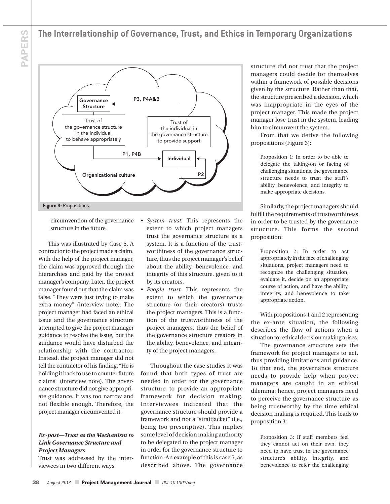

circumvention of the governance structure in the future.

This was illustrated by Case 5. A contractor to the project made a claim. With the help of the project manager, the claim was approved through the hierarchies and paid by the project manager's company. Later, the project manager found out that the claim was false. "They were just trying to make extra money" (interview note). The project manager had faced an ethical issue and the governance structure attempted to give the project manager guidance to resolve the issue, but the guidance would have disturbed the relationship with the contractor. Instead, the project manager did not tell the contractor of his finding, "He is holding it back to use to counter future claims" (interview note). The governance structure did not give appropriate guidance. It was too narrow and not flexible enough. Therefore, the project manager circumvented it.

### *Ex-post—Trust as the Mechanism to Link Governance Structure and Project Managers*

Trust was addressed by the interviewees in two different ways:

- *System trust.* This represents the extent to which project managers trust the governance structure as a system. It is a function of the trustworthiness of the governance structure, thus the project manager's belief about the ability, benevolence, and integrity of this structure, given to it by its creators.
- *People trust.* This represents the extent to which the governance structure (or their creators) trusts the project managers. This is a function of the trustworthiness of the project managers, thus the belief of the governance structure creators in the ability, benevolence, and integrity of the project managers.

Throughout the case studies it was found that both types of trust are needed in order for the governance structure to provide an appropriate framework for decision making. Interviewees indicated that the governance structure should provide a framework and not a "straitjacket" (i.e., being too prescriptive). This implies some level of decision making authority to be delegated to the project manager in order for the governance structure to function. An example of this is case 5, as described above. The governance

structure did not trust that the project managers could decide for themselves within a framework of possible decisions given by the structure. Rather than that, the structure prescribed a decision, which was inappropriate in the eyes of the project manager. This made the project manager lose trust in the system, leading him to circumvent the system.

From that we derive the following propositions (Figure 3):

Proposition 1: In order to be able to delegate the taking-on or facing of challenging situations, the governance structure needs to trust the staff's ability, benevolence, and integrity to make appropriate decisions.

Similarly, the project managers should fulfill the requirements of trustworthiness in order to be trusted by the governance structure. This forms the second proposition:

Proposition 2: In order to act appropriately in the face of challenging situations, project managers need to recognize the challenging situation, evaluate it, decide on an appropriate course of action, and have the ability, integrity, and benevolence to take appropriate action.

With propositions 1 and 2 representing the ex-ante situation, the following describes the flow of actions when a situation for ethical decision making arises.

The governance structure sets the framework for project managers to act, thus providing limitations and guidance. To that end, the governance structure needs to provide help when project managers are caught in an ethical dilemma; hence, project managers need to perceive the governance structure as being trustworthy by the time ethical decision making is required. This leads to proposition 3:

Proposition 3: If staff members feel they cannot act on their own, they need to have trust in the governance structure's ability, integrity, and benevolence to refer the challenging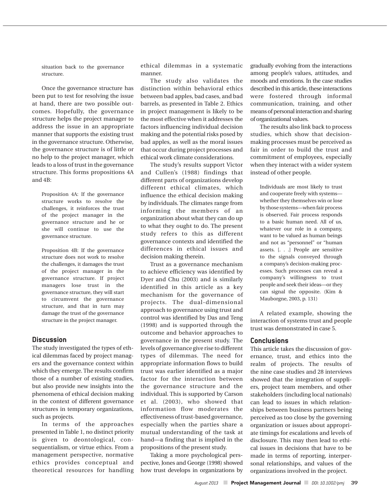situation back to the governance structure.

Once the governance structure has been put to test for resolving the issue at hand, there are two possible outcomes. Hopefully, the governance structure helps the project manager to address the issue in an appropriate manner that supports the existing trust in the governance structure. Otherwise, the governance structure is of little or no help to the project manager, which leads to a loss of trust in the governance structure. This forms propositions 4A and 4B:

Proposition 4A: If the governance structure works to resolve the challenges, it reinforces the trust of the project manager in the governance structure and he or she will continue to use the governance structure.

Proposition 4B: If the governance structure does not work to resolve the challenges, it damages the trust of the project manager in the governance structure. If project managers lose trust in the governance structure, they will start to circumvent the governance structure, and that in turn may damage the trust of the governance structure in the project manager.

### **Discussion**

The study investigated the types of ethical dilemmas faced by project managers and the governance context within which they emerge. The results confirm those of a number of existing studies, but also provide new insights into the phenomena of ethical decision making in the context of different governance structures in temporary organizations, such as projects.

In terms of the approaches presented in Table 1, no distinct priority is given to deontological, consequentialism, or virtue ethics. From a management perspective, normative ethics provides conceptual and theoretical resources for handling

ethical dilemmas in a systematic manner.

The study also validates the distinction within behavioral ethics between bad apples, bad cases, and bad barrels, as presented in Table 2. Ethics in project management is likely to be the most effective when it addresses the factors influencing individual decision making and the potential risks posed by bad apples, as well as the moral issues that occur during project processes and ethical work climate considerations.

The study's results support Victor and Cullen's (1988) findings that different parts of organizations develop different ethical climates, which influence the ethical decision making by individuals. The climates range from informing the members of an organization about what they can do up to what they ought to do. The present study refers to this as different governance contexts and identified the differences in ethical issues and decision making therein.

Trust as a governance mechanism to achieve efficiency was identified by Dyer and Chu (2003) and is similarly identified in this article as a key mechanism for the governance of projects. The dual-dimensional approach to governance using trust and control was identified by Das and Teng (1998) and is supported through the outcome and behavior approaches to governance in the present study. The levels of governance give rise to different types of dilemmas. The need for appropriate information flows to build trust was earlier identified as a major factor for the interaction between the governance structure and the individual. This is supported by Carson et al. (2003), who showed that information flow moderates the effectiveness of trust-based governance, especially when the parties share a mutual understanding of the task at hand—a finding that is implied in the propositions of the present study.

Taking a more psychological perspective, Jones and George (1998) showed how trust develops in organizations by gradually evolving from the interactions among people's values, attitudes, and moods and emotions. In the case studies described in this article, these interactions were fostered through informal communication, training, and other means of personal interaction and sharing of organizational values.

The results also link back to process studies, which show that decisionmaking processes must be perceived as fair in order to build the trust and commitment of employees, especially when they interact with a wider system instead of other people.

Individuals are most likely to trust and cooperate freely with systems whether they themselves win or lose by those systems—when fair process is observed. Fair process responds to a basic human need. All of us, whatever our role in a company, want to be valued as human beings and not as "personnel" or "human assets. [. . .] People are sensitive to the signals conveyed through a company's decision-making processes. Such processes can reveal a company's willingness to trust people and seek their ideas—or they can signal the opposite. (Kim & Mauborgne, 2003, p. 131)

A related example, showing the interaction of systems trust and people trust was demonstrated in case 5.

### **Conclusions**

This article takes the discussion of governance, trust, and ethics into the realm of projects. The results of the nine case studies and 28 interviews showed that the integration of suppliers, project team members, and other stakeholders (including local nationals) can lead to issues in which relationships between business partners being perceived as too close by the governing organization or issues about appropriate timings for escalations and levels of disclosure. This may then lead to ethical issues in decisions that have to be made in terms of reporting, interpersonal relationships, and values of the organizations involved in the project.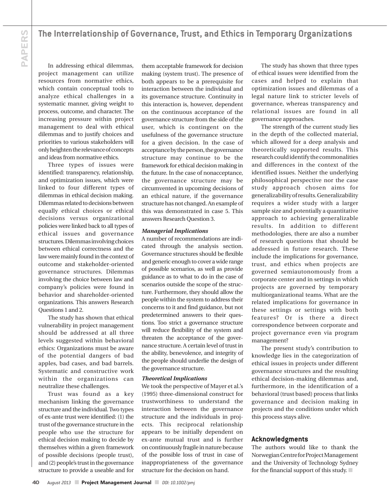In addressing ethical dilemmas, project management can utilize resources from normative ethics, which contain conceptual tools to analyze ethical challenges in a systematic manner, giving weight to process, outcome, and character. The increasing pressure within project management to deal with ethical dilemmas and to justify choices and priorities to various stakeholders will only heighten the relevance of concepts and ideas from normative ethics.

Three types of issues were identified: transparency, relationship, and optimization issues, which were linked to four different types of dilemmas in ethical decision making. Dilemmas related to decisions between equally ethical choices or ethical decisions versus organizational policies were linked back to all types of ethical issues and governance structures. Dilemmas involving choices between ethical correctness and the law were mainly found in the context of outcome and stakeholder-oriented governance structures. Dilemmas involving the choice between law and company's policies were found in behavior and shareholder-oriented organizations. This answers Research Questions 1 and 2.

The study has shown that ethical vulnerability in project management should be addressed at all three levels suggested within behavioral ethics: Organizations must be aware of the potential dangers of bad apples, bad cases, and bad barrels. Systematic and constructive work within the organizations can neutralize these challenges.

Trust was found as a key mechanism linking the governance structure and the individual. Two types of ex-ante trust were identified: (1) the trust of the governance structure in the people who use the structure for ethical decision making to decide by themselves within a given framework of possible decisions (people trust), and (2) people's trust in the governance structure to provide a useable and for

them acceptable framework for decision making (system trust). The presence of both appears to be a prerequisite for interaction between the individual and its governance structure. Continuity in this interaction is, however, dependent on the continuous acceptance of the governance structure from the side of the user, which is contingent on the usefulness of the governance structure for a given decision. In the case of acceptance by the person, the governance structure may continue to be the framework for ethical decision making in the future. In the case of nonacceptance, the governance structure may be circumvented in upcoming decisions of an ethical nature, if the governance structure has not changed. An example of this was demonstrated in case 5. This answers Research Question 3.

#### *Managerial Implications*

A number of recommendations are indicated through the analysis section. Governance structures should be flexible and generic enough to cover a wide range of possible scenarios, as well as provide guidance as to what to do in the case of scenarios outside the scope of the structure. Furthermore, they should allow the people within the system to address their concerns to it and find guidance, but not predetermined answers to their questions. Too strict a governance structure will reduce flexibility of the system and threaten the acceptance of the governance structure. A certain level of trust in the ability, benevolence, and integrity of the people should underlie the design of the governance structure.

#### *Theoretical Implications*

We took the perspective of Mayer et al.'s (1995) three-dimensional construct for trustworthiness to understand the interaction between the governance structure and the individuals in projects. This reciprocal relationship appears to be initially dependent on ex-ante mutual trust and is further on continuously fragile in nature because of the possible loss of trust in case of inappropriateness of the governance structure for the decision on hand.

The study has shown that three types of ethical issues were identified from the cases and helped to explain that optimization issues and dilemmas of a legal nature link to stricter levels of governance, whereas transparency and relational issues are found in all governance approaches.

The strength of the current study lies in the depth of the collected material, which allowed for a deep analysis and theoretically supported results. This research could identify the commonalities and differences in the context of the identified issues. Neither the underlying philosophical perspective nor the case study approach chosen aims for generalizability of results. Generalizability requires a wider study with a larger sample size and potentially a quantitative approach to achieving generalizable results. In addition to different methodologies, there are also a number of research questions that should be addressed in future research. These include the implications for governance, trust, and ethics when projects are governed semiautonomously from a corporate center and in settings in which projects are governed by temporary multiorganizational teams. What are the related implications for governance in these settings or settings with both features? Or is there a direct correspondence between corporate and project governance even via program management?

The present study's contribution to knowledge lies in the categorization of ethical issues in projects under different governance structures and the resulting ethical decision-making dilemmas and, furthermore, in the identification of a behavioral (trust based) process that links governance and decision making in projects and the conditions under which this process stays alive.

#### **Acknowledgments**

The authors would like to thank the Norwegian Centre for Project Management and the University of Technology Sydney for the financial support of this study.  $\blacksquare$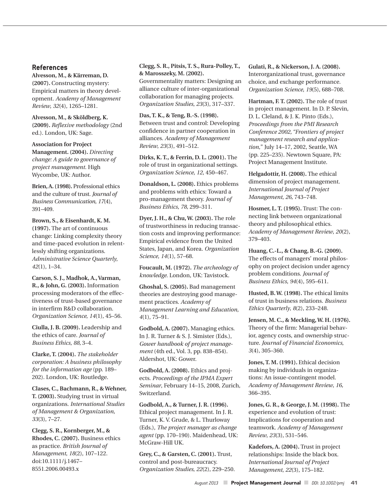### **References**

**Alvesson, M., & Kärreman, D. (2007).** Constructing mystery: Empirical matters in theory development. *Academy of Management Review*, *32*(4), 1265–1281.

**Alvesson, M., & Sköldberg, K. (2009).** *Reflexive methodology* (2nd ed.). London, UK: Sage.

**Association for Project Management. (2004).** *Directing change: A guide to governance of project management.* High Wycombe, UK: Author.

**Brien, A. (1998).** Professional ethics and the culture of trust. *Journal of Business Communication*, *17*(4), 391–409.

**Brown, S., & Eisenhardt, K. M. (1997).** The art of continuous change: Linking complexity theory and time-paced evolution in relentlessly shifting organizations. *Administrative Science Quarterly*, *42*(1), 1–34.

**Carson, S. J., Madhok, A., Varman, R., & John, G. (2003).** Information processing moderators of the effectiveness of trust-based governance in interfirm R&D collaboration. *Organization Science*, *14*(1), 45–56.

**Ciulla, J. B. (2009).** Leadership and the ethics of care. *Journal of Business Ethics*, *88,* 3–4.

**Clarke, T. (2004).** *The stakeholder corporation: A business philosophy for the information age* (pp. 189– 202). London, UK: Routledge.

**Clases, C., Bachmann, R., & Wehner, T. (2003).** Studying trust in virtual organizations. *International Studies of Management & Organization*, *33*(3), 7–27.

**Clegg, S. R., Kornberger, M., & Rhodes, C. (2007).** Business ethics as practice. *British Journal of Management*, *18*(2), 107–122. doi:10.1111/j.1467– 8551.2006.00493.x

**Clegg, S. R., Pitsis, T. S., Rura-Polley, T., & Marosszeky, M. (2002).** 

Governmentality matters: Designing an alliance culture of inter-organizational collaboration for managing projects. *Organization Studies*, *23*(3), 317–337.

**Das, T. K., & Teng, B.-S. (1998).**  Between trust and control: Developing confidence in partner cooperation in alliances. *Academy of Management Review*, *23*(3), 491–512.

**Dirks, K. T., & Ferrin, D. L. (2001).** The role of trust in organizational settings. *Organization Science*, *12*, 450–467.

**Donaldson, L. (2008).** Ethics problems and problems with ethics: Toward a pro-management theory. *Journal of Business Ethics*, *78,* 299–311.

**Dyer, J. H., & Chu, W. (2003).** The role of trustworthiness in reducing transaction costs and improving performance: Empirical evidence from the United States, Japan, and Korea. *Organization Science*, *14*(1), 57–68.

**Foucault, M. (1972).** *The archeology of knowledge.* London, UK: Tavistock.

**Ghoshal, S. (2005).** Bad management theories are destroying good management practices. *Academy of Management Learning and Education, 4*(1), 75–91.

**Godbold, A. (2007).** Managing ethics. In J. R. Turner & S. J. Simister (Eds.), *Gower handbook of project management* (4th ed., Vol. 3, pp. 838–854). Aldershot, UK: Gower.

**Godbold, A. (2008).** Ethics and projects. *Proceedings of the IPMA Expert Seminar*, February 14–15, 2008, Zurich, Switzerland.

**Godbold, A., & Turner, J. R. (1996).** Ethical project management. In J. R. Turner, K. V. Grude, & L. Thurloway (Eds.), *The project manager as change agent* (pp. 170–190). Maidenhead, UK: McGraw-Hill UK.

**Grey, C., & Garsten, C. (2001).** Trust, control and post-bureaucracy. *Organization Studies*, *22*(2), 229–250. **Gulati, R., & Nickerson, J. A. (2008).**  Interorganizational trust, governance choice, and exchange performance. *Organization Science*, *19*(5), 688–708.

**Hartman, F. T. (2002).** The role of trust in project management. In D. P. Slevin, D. L. Cleland, & J. K. Pinto (Eds.), *Proceedings from the PMI Research Conference 2002, "Frontiers of project management research and application,*" July 14–17, 2002, Seattle, WA (pp. 225–235). Newtown Square, PA: Project Management Institute.

**Helgadottir, H. (2008).** The ethical dimension of project management. *International Journal of Project Management*, *26,* 743–748.

**Hosmer, L. T. (1995).** Trust: The connecting link between organizational theory and philosophical ethics. *Academy of Management Review*, *20*(2), 379–403.

**Huang, C.-L., & Chang, B.-G. (2009).**  The effects of managers' moral philosophy on project decision under agency problem conditions. *Journal of Business Ethics*, *94*(4), 595–611.

**Husted, B. W. (1998).** The ethical limits of trust in business relations. *Business Ethics Quarterly*, *8*(2), 233–248.

**Jensen, M. C., & Meckling, W. H. (1976).** Theory of the firm: Managerial behavior, agency costs, and ownership structure. *Journal of Financial Economics*, *3*(4), 305–360.

**Jones, T. M. (1991).** Ethical decision making by individuals in organizations: An issue-contingent model. *Academy of Management Review*, *16,* 366–395.

**Jones, G. R., & George, J. M. (1998).** The experience and evolution of trust: Implications for cooperation and teamwork. *Academy of Management Review*, *23*(3), 531–546.

**Kadefors, A. (2004).** Trust in project relationships: Inside the black box. *International Journal of Project Management*, *22*(3), 175–182.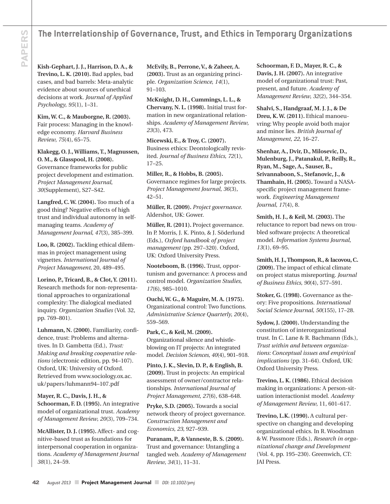**Kish-Gephart, J. J., Harrison, D. A., & Trevino, L. K. (2010).** Bad apples, bad cases, and bad barrels: Meta-analytic evidence about sources of unethical decisions at work. *Journal of Applied Psychology*, *95*(1), 1–31.

**Kim, W. C., & Mauborgne, R. (2003).**  Fair process: Managing in the knowledge economy. *Harvard Business Review*, *75*(4), 65–75.

**Klakegg, O. J., Williams, T., Magnussen, O. M., & Glasspool, H. (2008).** Governance frameworks for public project development and estimation. *Project Management Journal*, *30*(Supplement), S27–S42.

**Langfred, C. W. (2004).** Too much of a good thing? Negative effects of high trust and individual autonomy in selfmanaging teams. *Academy of Management Journal*, *47*(3), 385–399.

**Loo, R. (2002).** Tackling ethical dilemmas in project management using vignettes. *International Journal of Project Management*, 20, 489–495.

**Lorino, P., Tricard, B., & Clot, Y. (2011).** Research methods for non-representational approaches to organizational complexity: The dialogical mediated inquiry. *Organization Studies* (Vol. 32, pp. 769–801).

**Luhmann, N. (2000).** Familiarity, confidence, trust: Problems and alternatives. In D. Gambetta (Ed.), *Trust: Making and breaking cooperative relations* (electronic edition, pp. 94–107). Oxford, UK: University of Oxford. Retrieved from www.sociology.ox.ac. uk/papers/luhmann94–107.pdf

**Mayer, R. C., Davis, J. H., & Schoorman, F. D. (1995).** An integrative model of organizational trust. *Academy of Management Review*, *20*(3), 709–734.

**McAllister, D. J. (1995).** Affect- and cognitive-based trust as foundations for interpersonal cooperation in organizations. *Academy of Management Journal 38*(1), 24–59.

**McEvily, B., Perrone, V., & Zaheer, A. (2003).** Trust as an organizing principle. *Organization Science*, *14*(1), 91–103.

**McKnight, D. H., Cummings, L. L., & Chervany, N. L. (1998).** Initial trust formation in new organizational relationships. *Academy of Management Review*, *23*(3), 473.

**Micewski, E., & Troy, C. (2007).**  Business ethics: Deontologically revisited. *Journal of Business Ethics*, *72*(1), 17–25.

**Miller, R., & Hobbs, B. (2005).**  Governance regimes for large projects. *Project Management Journal*, *36*(3), 42–51.

**Müller, R. (2009).** *Project governance.* Aldershot, UK: Gower.

**Müller, R. (2011).** Project governance. In P. Morris, J. K. Pinto, & J. Söderlund (Eds.), *Oxford handbook of project management* (pp. 297–320). Oxford, UK: Oxford University Press.

**Nooteboom, B. (1996).** Trust, opportunism and governance: A process and control model. *Organization Studies*, *17*(6), 985–1010.

**Ouchi, W. G., & Maguire, M. A. (1975).**  Organizational control: Two functions. *Administrative Science Quarterly*, *20*(4), 559–569.

**Park, C., & Keil, M. (2009).**  Organizational silence and whistleblowing on IT projects: An integrated model. *Decision Sciences*, *40*(4), 901–918.

**Pinto, J. K., Slevin, D. P., & English, B. (2009).** Trust in projects: An empirical assessment of owner/contractor relationships. *International Journal of Project Management*, *27*(6), 638–648.

**Pryke, S.D. (2005).** Towards a social network theory of project governance. *Construction Management and Economics*, *23*, 927–939.

**Puranam, P., & Vanneste, B. S. (2009).**  Trust and governance: Untangling a tangled web. *Academy of Management Review*, *34*(1), 11–31.

**Schoorman, F. D., Mayer, R. C., & Davis, J. H. (2007).** An integrative model of organizational trust: Past, present, and future. *Academy of Management Review*, *32*(2), 344–354.

**Shalvi, S., Handgraaf, M. J. J., & De Dreu, K. W. (2011).** Ethical manoeuvring: Why people avoid both major and minor lies. *British Journal of Management*, *22*, 16–27.

**Shenhar, A., Dvir, D., Milosevic, D., Mulenburg, J., Patanakul, P., Reilly, R., Ryan, M., Sage, A., Sauser, B., Srivannaboon, S., Stefanovic, J., & Thamhain, H. (2005).** Toward a NASAspecific project management framework. *Engineering Management Journal*, *17*(4), 8.

**Smith, H. J., & Keil, M. (2003).** The reluctance to report bad news on troubled software projects: A theoretical model. *Information Systems Journal*, *13*(1), 69–95.

**Smith, H. J., Thompson, R., & Iacovou, C. (2009).** The impact of ethical climate on project status misreporting. *Journal of Business Ethics*, *90*(4), 577–591.

**Stoker, G. (1998).** Governance as theory: Five propositions. *International Social Science Journal*, *50*(155), 17–28.

**Sydow, J. (2000).** Understanding the constitution of interorganizational trust. In C. Lane & R. Bachmann (Eds.), *Trust within and between organizations: Conceptual issues and empirical implications* (pp. 31–64). Oxford, UK: Oxford University Press.

**Trevino, L. K. (1986).** Ethical decision making in organizations: A person-situation interactionist model. *Academy of Management Review*, 11, 601–617.

**Trevino, L.K. (1990).** A cultural perspective on changing and developing organizational ethics. In R. Woodman & W. Passmore (Eds.), *Research in organizational change and Development* (Vol. 4, pp. 195–230). Greenwich, CT: JAI Press.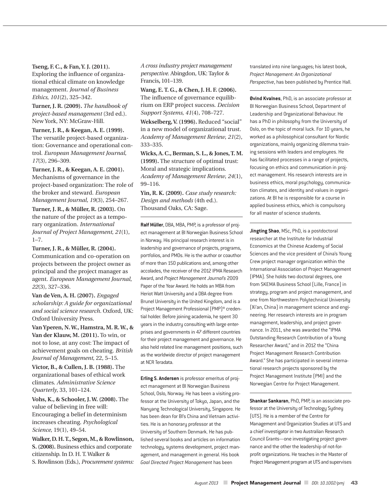#### **Tseng, F. C., & Fan, Y. J. (2011).**

Exploring the influence of organizational ethical climate on knowledge management. *Journal of Business Ethics*, *101*(2), 325–342.

**Turner, J. R. (2009).** *The handbook of project-based management* (3rd ed.). New York, NY: McGraw-Hill.

**Turner, J. R., & Keegan, A. E. (1999).**  The versatile project-based organization: Governance and operational control. *European Management Journal*, *17*(3), 296–309.

**Turner, J. R., & Keegan, A. E. (2001).** Mechanisms of governance in the project-based organization: The role of the broker and steward. *European Management Journal, 19*(3), 254–267. **Turner, J. R., & Müller, R. (2003).** On the nature of the project as a temporary organization. *International Journal of Project Management*, *21*(1),  $1-7.$ 

**Turner, J. R., & Müller, R. (2004).**  Communication and co-operation on projects between the project owner as principal and the project manager as agent. *European Management Journal*, *22*(3), 327–336.

**Van de Ven, A. H. (2007).** *Engaged scholarship: A guide for organizational and social science research.* Oxford, UK: Oxford University Press.

**Van Yperen, N. W., Hamstra, M. R. W., & Van der Klauw, M. (2011).** To win, or not to lose, at any cost: The impact of achievement goals on cheating. *British Journal of Management*, 22, 5–15.

**Victor, B., & Cullen, J. B. (1988).** The organizational bases of ethical work climates. *Administrative Science Quarterly*, 33, 101–124.

**Vohs, K., & Schooler, J. W. (2008).** The value of believing in free will: Encouraging a belief in determinism increases cheating. *Psychological Science*, 19(1), 49–54.

**Walker, D. H. T., Segon, M., & Rowlinson, S. (2008).** Business ethics and corporate citizenship. In D. H. T. Walker & S. Rowlinson (Eds.), *Procurement systems:*  *A cross industry project management perspective.* Abingdon, UK: Taylor & Francis**,** 101–139.

**Wang, E. T. G., & Chen, J. H. F. (2006).**  The influence of governance equilibrium on ERP project success. *Decision Support Systems*, *41*(4), 708–727.

**Wekselberg, V. (1996).** Reduced "social" in a new model of organizational trust. *Academy of Management Review*, *21*(2), 333–335.

**Wicks, A. C., Berman, S. L., & Jones, T. M. (1999).** The structure of optimal trust: Moral and strategic implications. *Academy of Management Review*, *24*(1), 99–116.

**Yin, R. K. (2009).** *Case study research: Design and methods* (4th ed.). Thousand Oaks, CA: Sage.

**Ralf Müller**, DBA, MBA, PMP, is a professor of project management at BI Norwegian Business School in Norway. His principal research interest is in leadership and governance of projects, programs, portfolios, and PMOs. He is the author or coauthor of more than 150 publications and, among other accolades, the receiver of the 2012 IPMA Research Award, and *Project Management Journal's* 2009 Paper of the Year Award. He holds an MBA from Heriot Watt University and a DBA degree from Brunel University in the United Kingdom, and is a Project Management Professional (PMP)® credential holder. Before joining academia, he spent 30 years in the industry consulting with large enterprises and governments in 47 different countries for their project management and governance. He also held related line management positions, such as the worldwide director of project management at NCR Teradata.

**Erling S. Andersen** is professor emeritus of project management at BI Norwegian Business School, Oslo, Norway. He has been a visiting professor at the University of Tokyo, Japan, and the Nanyang Technological University, Singapore. He has been dean for BI's China and Vietnam activities. He is an honorary professor at the University of Southern Denmark. He has published several books and articles on information technology, systems development, project management, and management in general. His book *Goal Directed Project Management* has been

translated into nine languages; his latest book, *Project Management: An Organizational Perspective*, has been published by Prentice Hall.

**Øvind Kvalnes**, PhD, is an associate professor at BI Norwegian Business School, Department of Leadership and Organizational Behaviour. He has a PhD in philosophy from the University of Oslo, on the topic of moral luck. For 10 years, he worked as a philosophical consultant for Nordic organizations, mainly organizing dilemma training sessions with leaders and employees. He has facilitated processes in a range of projects, focusing on ethics and communication in project management. His research interests are in business ethics, moral psychology, communication climates, and identity and values in organizations. At BI he is responsible for a course in applied business ethics, which is compulsory for all master of science students.

**Jingting Shao**, MSc, PhD, is a postdoctoral researcher at the Institute for Industrial Economics at the Chinese Academy of Social Sciences and the vice president of China's Young Crew project manager organization within the International Association of Project Management (IPMA). She holds two doctoral degrees, one from SKEMA Business School (Lille, France) in strategy, program and project management, and one from Northwestern Polytechnical University (Xi'an, China) in management science and engineering. Her research interests are in program management, leadership, and project governance. In 2011, she was awarded the "IPMA Outstanding Research Contribution of a Young Researcher Award," and in 2012 the "China Project Management Research Contribution Award." She has participated in several international research projects sponsored by the Project Management Institute (PMI) and the Norwegian Centre for Project Management.

**Shankar Sankaran**, PhD, PMP, is an associate professor at the University of Technology Sydney (UTS). He is a member of the Centre for Management and Organization Studies at UTS and a chief investigator in two Australian Research Council Grants—one investigating project governance and the other the leadership of not-forprofit organizations. He teaches in the Master of Project Management program at UTS and supervises